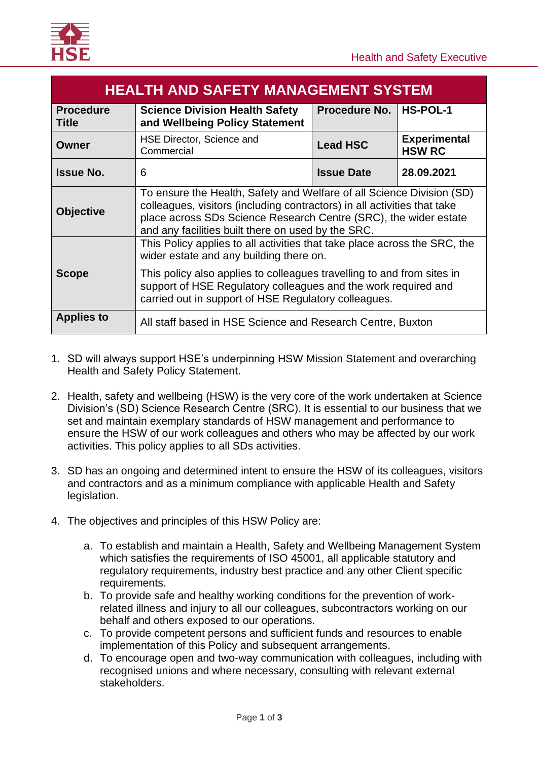| <b>HEALTH AND SAFETY MANAGEMENT SYSTEM</b> |                                                                                                                                                                                                                                                                             |                   |                                      |  |  |
|--------------------------------------------|-----------------------------------------------------------------------------------------------------------------------------------------------------------------------------------------------------------------------------------------------------------------------------|-------------------|--------------------------------------|--|--|
| <b>Procedure</b><br>Title                  | <b>Procedure No.</b><br><b>Science Division Health Safety</b><br>and Wellbeing Policy Statement                                                                                                                                                                             |                   | <b>HS-POL-1</b>                      |  |  |
| Owner                                      | HSE Director, Science and<br>Commercial                                                                                                                                                                                                                                     | <b>Lead HSC</b>   | <b>Experimental</b><br><b>HSW RC</b> |  |  |
| <b>Issue No.</b>                           | 6                                                                                                                                                                                                                                                                           | <b>Issue Date</b> | 28.09.2021                           |  |  |
| <b>Objective</b>                           | To ensure the Health, Safety and Welfare of all Science Division (SD)<br>colleagues, visitors (including contractors) in all activities that take<br>place across SDs Science Research Centre (SRC), the wider estate<br>and any facilities built there on used by the SRC. |                   |                                      |  |  |
|                                            | This Policy applies to all activities that take place across the SRC, the<br>wider estate and any building there on.                                                                                                                                                        |                   |                                      |  |  |
| <b>Scope</b>                               | This policy also applies to colleagues travelling to and from sites in<br>support of HSE Regulatory colleagues and the work required and<br>carried out in support of HSE Regulatory colleagues.                                                                            |                   |                                      |  |  |
| <b>Applies to</b>                          | All staff based in HSE Science and Research Centre, Buxton                                                                                                                                                                                                                  |                   |                                      |  |  |

- 1. SD will always support HSE's underpinning HSW Mission Statement and overarching Health and Safety Policy Statement.
- 2. Health, safety and wellbeing (HSW) is the very core of the work undertaken at Science Division's (SD) Science Research Centre (SRC). It is essential to our business that we set and maintain exemplary standards of HSW management and performance to ensure the HSW of our work colleagues and others who may be affected by our work activities. This policy applies to all SDs activities.
- 3. SD has an ongoing and determined intent to ensure the HSW of its colleagues, visitors and contractors and as a minimum compliance with applicable Health and Safety legislation.
- 4. The objectives and principles of this HSW Policy are:
	- a. To establish and maintain a Health, Safety and Wellbeing Management System which satisfies the requirements of ISO 45001, all applicable statutory and regulatory requirements, industry best practice and any other Client specific requirements.
	- b. To provide safe and healthy working conditions for the prevention of workrelated illness and injury to all our colleagues, subcontractors working on our behalf and others exposed to our operations.
	- c. To provide competent persons and sufficient funds and resources to enable implementation of this Policy and subsequent arrangements.
	- d. To encourage open and two-way communication with colleagues, including with recognised unions and where necessary, consulting with relevant external stakeholders.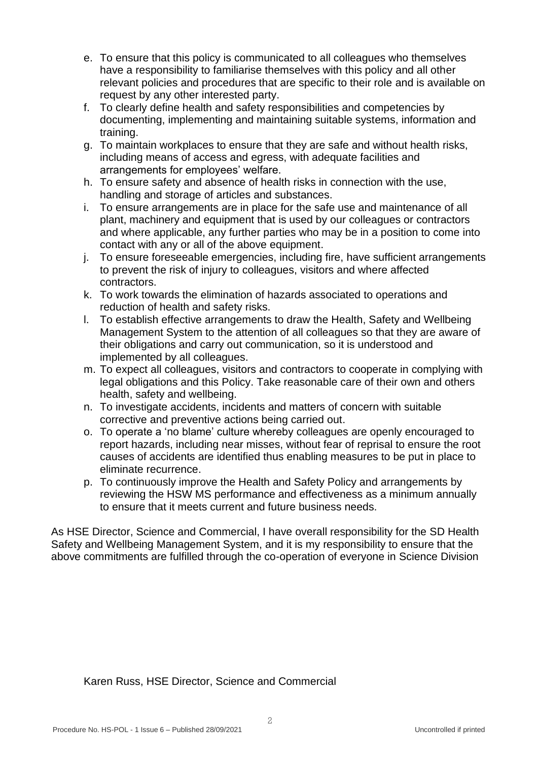- e. To ensure that this policy is communicated to all colleagues who themselves have a responsibility to familiarise themselves with this policy and all other relevant policies and procedures that are specific to their role and is available on request by any other interested party.
- f. To clearly define health and safety responsibilities and competencies by documenting, implementing and maintaining suitable systems, information and training.
- g. To maintain workplaces to ensure that they are safe and without health risks, including means of access and egress, with adequate facilities and arrangements for employees' welfare.
- h. To ensure safety and absence of health risks in connection with the use, handling and storage of articles and substances.
- i. To ensure arrangements are in place for the safe use and maintenance of all plant, machinery and equipment that is used by our colleagues or contractors and where applicable, any further parties who may be in a position to come into contact with any or all of the above equipment.
- j. To ensure foreseeable emergencies, including fire, have sufficient arrangements to prevent the risk of injury to colleagues, visitors and where affected contractors.
- k. To work towards the elimination of hazards associated to operations and reduction of health and safety risks.
- l. To establish effective arrangements to draw the Health, Safety and Wellbeing Management System to the attention of all colleagues so that they are aware of their obligations and carry out communication, so it is understood and implemented by all colleagues.
- m. To expect all colleagues, visitors and contractors to cooperate in complying with legal obligations and this Policy. Take reasonable care of their own and others health, safety and wellbeing.
- n. To investigate accidents, incidents and matters of concern with suitable corrective and preventive actions being carried out.
- o. To operate a 'no blame' culture whereby colleagues are openly encouraged to report hazards, including near misses, without fear of reprisal to ensure the root causes of accidents are identified thus enabling measures to be put in place to eliminate recurrence.
- p. To continuously improve the Health and Safety Policy and arrangements by reviewing the HSW MS performance and effectiveness as a minimum annually to ensure that it meets current and future business needs.

As HSE Director, Science and Commercial, I have overall responsibility for the SD Health Safety and Wellbeing Management System, and it is my responsibility to ensure that the above commitments are fulfilled through the co-operation of everyone in Science Division

Karen Russ, HSE Director, Science and Commercial